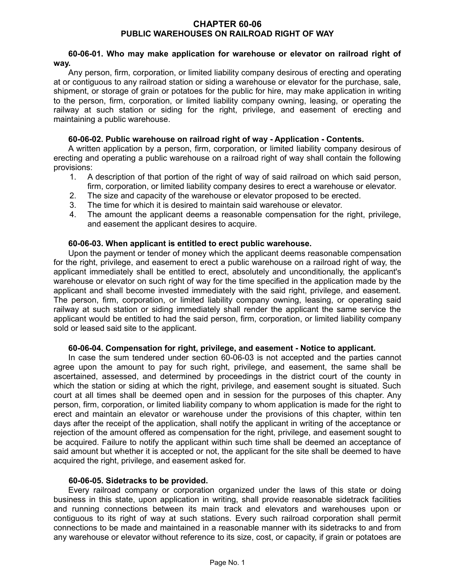#### **CHAPTER 60-06 PUBLIC WAREHOUSES ON RAILROAD RIGHT OF WAY**

## **60-06-01. Who may make application for warehouse or elevator on railroad right of way.**

Any person, firm, corporation, or limited liability company desirous of erecting and operating at or contiguous to any railroad station or siding a warehouse or elevator for the purchase, sale, shipment, or storage of grain or potatoes for the public for hire, may make application in writing to the person, firm, corporation, or limited liability company owning, leasing, or operating the railway at such station or siding for the right, privilege, and easement of erecting and maintaining a public warehouse.

# **60-06-02. Public warehouse on railroad right of way - Application - Contents.**

A written application by a person, firm, corporation, or limited liability company desirous of erecting and operating a public warehouse on a railroad right of way shall contain the following provisions:

- 1. A description of that portion of the right of way of said railroad on which said person, firm, corporation, or limited liability company desires to erect a warehouse or elevator.
- 2. The size and capacity of the warehouse or elevator proposed to be erected.
- 3. The time for which it is desired to maintain said warehouse or elevator.
- 4. The amount the applicant deems a reasonable compensation for the right, privilege, and easement the applicant desires to acquire.

## **60-06-03. When applicant is entitled to erect public warehouse.**

Upon the payment or tender of money which the applicant deems reasonable compensation for the right, privilege, and easement to erect a public warehouse on a railroad right of way, the applicant immediately shall be entitled to erect, absolutely and unconditionally, the applicant's warehouse or elevator on such right of way for the time specified in the application made by the applicant and shall become invested immediately with the said right, privilege, and easement. The person, firm, corporation, or limited liability company owning, leasing, or operating said railway at such station or siding immediately shall render the applicant the same service the applicant would be entitled to had the said person, firm, corporation, or limited liability company sold or leased said site to the applicant.

#### **60-06-04. Compensation for right, privilege, and easement - Notice to applicant.**

In case the sum tendered under section 60-06-03 is not accepted and the parties cannot agree upon the amount to pay for such right, privilege, and easement, the same shall be ascertained, assessed, and determined by proceedings in the district court of the county in which the station or siding at which the right, privilege, and easement sought is situated. Such court at all times shall be deemed open and in session for the purposes of this chapter. Any person, firm, corporation, or limited liability company to whom application is made for the right to erect and maintain an elevator or warehouse under the provisions of this chapter, within ten days after the receipt of the application, shall notify the applicant in writing of the acceptance or rejection of the amount offered as compensation for the right, privilege, and easement sought to be acquired. Failure to notify the applicant within such time shall be deemed an acceptance of said amount but whether it is accepted or not, the applicant for the site shall be deemed to have acquired the right, privilege, and easement asked for.

#### **60-06-05. Sidetracks to be provided.**

Every railroad company or corporation organized under the laws of this state or doing business in this state, upon application in writing, shall provide reasonable sidetrack facilities and running connections between its main track and elevators and warehouses upon or contiguous to its right of way at such stations. Every such railroad corporation shall permit connections to be made and maintained in a reasonable manner with its sidetracks to and from any warehouse or elevator without reference to its size, cost, or capacity, if grain or potatoes are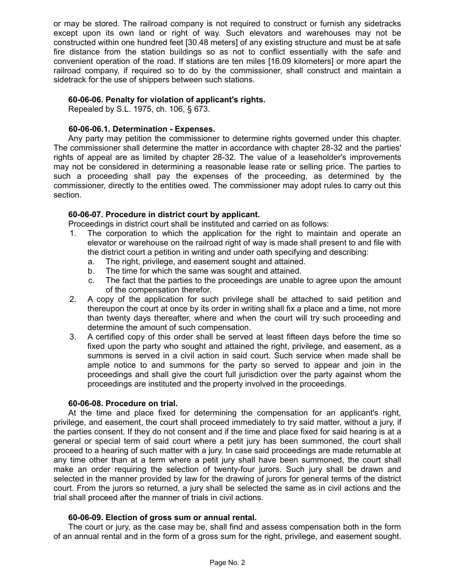or may be stored. The railroad company is not required to construct or furnish any sidetracks except upon its own land or right of way. Such elevators and warehouses may not be constructed within one hundred feet [30.48 meters] of any existing structure and must be at safe fire distance from the station buildings so as not to conflict essentially with the safe and convenient operation of the road. If stations are ten miles [16.09 kilometers] or more apart the railroad company, if required so to do by the commissioner, shall construct and maintain a sidetrack for the use of shippers between such stations.

## **60-06-06. Penalty for violation of applicant's rights.**

Repealed by S.L. 1975, ch. 106, § 673.

## **60-06-06.1. Determination - Expenses.**

Any party may petition the commissioner to determine rights governed under this chapter. The commissioner shall determine the matter in accordance with chapter 28-32 and the parties' rights of appeal are as limited by chapter 28-32. The value of a leaseholder's improvements may not be considered in determining a reasonable lease rate or selling price. The parties to such a proceeding shall pay the expenses of the proceeding, as determined by the commissioner, directly to the entities owed. The commissioner may adopt rules to carry out this section.

## **60-06-07. Procedure in district court by applicant.**

Proceedings in district court shall be instituted and carried on as follows:

- 1. The corporation to which the application for the right to maintain and operate an elevator or warehouse on the railroad right of way is made shall present to and file with the district court a petition in writing and under oath specifying and describing:
	- a. The right, privilege, and easement sought and attained.
	- b. The time for which the same was sought and attained.
	- c. The fact that the parties to the proceedings are unable to agree upon the amount of the compensation therefor.
- 2. A copy of the application for such privilege shall be attached to said petition and thereupon the court at once by its order in writing shall fix a place and a time, not more than twenty days thereafter, where and when the court will try such proceeding and determine the amount of such compensation.
- 3. A certified copy of this order shall be served at least fifteen days before the time so fixed upon the party who sought and attained the right, privilege, and easement, as a summons is served in a civil action in said court. Such service when made shall be ample notice to and summons for the party so served to appear and join in the proceedings and shall give the court full jurisdiction over the party against whom the proceedings are instituted and the property involved in the proceedings.

#### **60-06-08. Procedure on trial.**

At the time and place fixed for determining the compensation for an applicant's right, privilege, and easement, the court shall proceed immediately to try said matter, without a jury, if the parties consent. If they do not consent and if the time and place fixed for said hearing is at a general or special term of said court where a petit jury has been summoned, the court shall proceed to a hearing of such matter with a jury. In case said proceedings are made returnable at any time other than at a term where a petit jury shall have been summoned, the court shall make an order requiring the selection of twenty-four jurors. Such jury shall be drawn and selected in the manner provided by law for the drawing of jurors for general terms of the district court. From the jurors so returned, a jury shall be selected the same as in civil actions and the trial shall proceed after the manner of trials in civil actions.

#### **60-06-09. Election of gross sum or annual rental.**

The court or jury, as the case may be, shall find and assess compensation both in the form of an annual rental and in the form of a gross sum for the right, privilege, and easement sought.